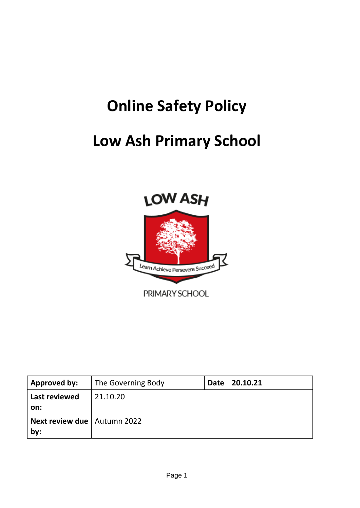# **Online Safety Policy**

# **Low Ash Primary School**



| Approved by:                         | The Governing Body | Date 20.10.21 |
|--------------------------------------|--------------------|---------------|
| Last reviewed                        | 21.10.20           |               |
| on:                                  |                    |               |
| Next review due   Autumn 2022<br>by: |                    |               |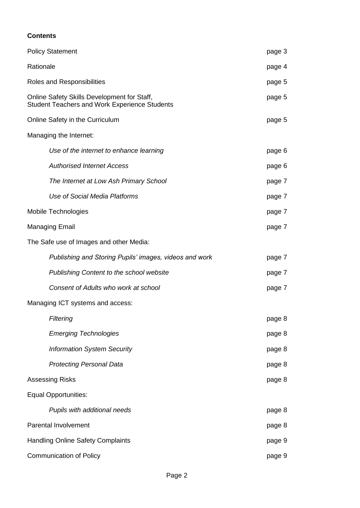# **Contents**

| <b>Policy Statement</b>                                                                             | page 3 |
|-----------------------------------------------------------------------------------------------------|--------|
| Rationale                                                                                           | page 4 |
| Roles and Responsibilities                                                                          | page 5 |
| Online Safety Skills Development for Staff,<br><b>Student Teachers and Work Experience Students</b> | page 5 |
| Online Safety in the Curriculum                                                                     | page 5 |
| Managing the Internet:                                                                              |        |
| Use of the internet to enhance learning                                                             | page 6 |
| <b>Authorised Internet Access</b>                                                                   | page 6 |
| The Internet at Low Ash Primary School                                                              | page 7 |
| Use of Social Media Platforms                                                                       | page 7 |
| Mobile Technologies                                                                                 | page 7 |
| <b>Managing Email</b>                                                                               | page 7 |
| The Safe use of Images and other Media:                                                             |        |
| Publishing and Storing Pupils' images, videos and work                                              | page 7 |
| Publishing Content to the school website                                                            | page 7 |
| Consent of Adults who work at school                                                                | page 7 |
| Managing ICT systems and access:                                                                    |        |
| Filtering                                                                                           | page 8 |
| <b>Emerging Technologies</b>                                                                        | page 8 |
| <b>Information System Security</b>                                                                  | page 8 |
| <b>Protecting Personal Data</b>                                                                     | page 8 |
| <b>Assessing Risks</b>                                                                              | page 8 |
| <b>Equal Opportunities:</b>                                                                         |        |
| Pupils with additional needs                                                                        | page 8 |
| <b>Parental Involvement</b>                                                                         | page 8 |
| <b>Handling Online Safety Complaints</b>                                                            |        |
| <b>Communication of Policy</b>                                                                      | page 9 |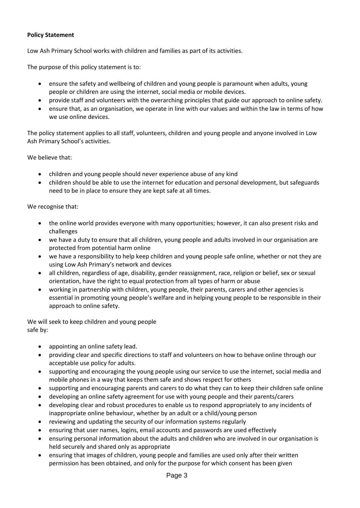### **Policy Statement**

Low Ash Primary School works with children and families as part of its activities.

The purpose of this policy statement is to:

- ensure the safety and wellbeing of children and young people is paramount when adults, young people or children are using the internet, social media or mobile devices.
- provide staff and volunteers with the overarching principles that guide our approach to online safety.
- ensure that, as an organisation, we operate in line with our values and within the law in terms of how we use online devices.

The policy statement applies to all staff, volunteers, children and young people and anyone involved in Low Ash Primary School's activities.

We believe that:

- children and young people should never experience abuse of any kind
- children should be able to use the internet for education and personal development, but safeguards need to be in place to ensure they are kept safe at all times.

We recognise that:

- the online world provides everyone with many opportunities; however, it can also present risks and challenges
- we have a duty to ensure that all children, young people and adults involved in our organisation are protected from potential harm online
- we have a responsibility to help keep children and young people safe online, whether or not they are using Low Ash Primary's network and devices
- all children, regardless of age, disability, gender reassignment, race, religion or belief, sex or sexual orientation, have the right to equal protection from all types of harm or abuse
- working in partnership with children, young people, their parents, carers and other agencies is essential in promoting young people's welfare and in helping young people to be responsible in their approach to online safety.

We will seek to keep children and young people safe by:

- appointing an online safety lead.
- providing clear and specific directions to staff and volunteers on how to behave online through our acceptable use policy for adults.
- supporting and encouraging the young people using our service to use the internet, social media and mobile phones in a way that keeps them safe and shows respect for others
- supporting and encouraging parents and carers to do what they can to keep their children safe online
- developing an online safety agreement for use with young people and their parents/carers
- developing clear and robust procedures to enable us to respond appropriately to any incidents of inappropriate online behaviour, whether by an adult or a child/young person
- reviewing and updating the security of our information systems regularly
- ensuring that user names, logins, email accounts and passwords are used effectively
- ensuring personal information about the adults and children who are involved in our organisation is held securely and shared only as appropriate
- ensuring that images of children, young people and families are used only after their written permission has been obtained, and only for the purpose for which consent has been given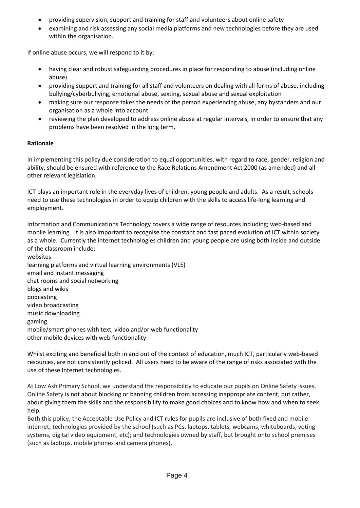- providing supervision, support and training for staff and volunteers about online safety
- examining and risk assessing any social media platforms and new technologies before they are used within the organisation.

If online abuse occurs, we will respond to it by:

- having clear and robust safeguarding procedures in place for responding to abuse (including online abuse)
- providing support and training for all staff and volunteers on dealing with all forms of abuse, including bullying/cyberbullying, emotional abuse, sexting, sexual abuse and sexual exploitation
- making sure our response takes the needs of the person experiencing abuse, any bystanders and our organisation as a whole into account
- reviewing the plan developed to address online abuse at regular intervals, in order to ensure that any problems have been resolved in the long term.

# **Rationale**

In implementing this policy due consideration to equal opportunities, with regard to race, gender, religion and ability, should be ensured with reference to the Race Relations Amendment Act 2000 (as amended) and all other relevant legislation.

ICT plays an important role in the everyday lives of children, young people and adults. As a result, schools need to use these technologies in order to equip children with the skills to access life-long learning and employment.

Information and Communications Technology covers a wide range of resources including; web-based and mobile learning. It is also important to recognise the constant and fast paced evolution of ICT within society as a whole. Currently the internet technologies children and young people are using both inside and outside of the classroom include:

websites learning platforms and virtual learning environments (VLE) email and instant messaging chat rooms and social networking blogs and wikis podcasting video broadcasting music downloading gaming mobile/smart phones with text, video and/or web functionality other mobile devices with web functionality

Whilst exciting and beneficial both in and out of the context of education, much ICT, particularly web-based resources, are not consistently policed. All users need to be aware of the range of risks associated with the use of these Internet technologies.

At Low Ash Primary School, we understand the responsibility to educate our pupils on Online Safety issues. Online Safety is not about blocking or banning children from accessing inappropriate content, but rather, about giving them the skills and the responsibility to make good choices and to know how and when to seek help.

Both this policy, the Acceptable Use Policy and ICT rules for pupils are inclusive of both fixed and mobile internet; technologies provided by the school (such as PCs, laptops, tablets, webcams, whiteboards, voting systems, digital video equipment, etc); and technologies owned by staff, but brought onto school premises (such as laptops, mobile phones and camera phones).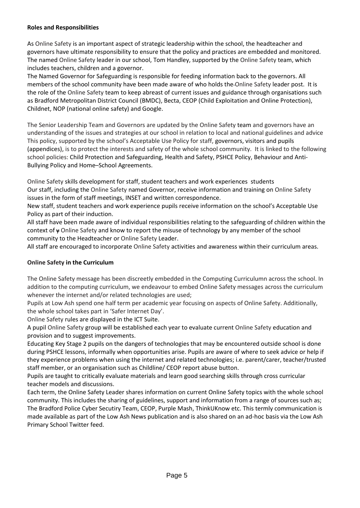### **Roles and Responsibilities**

As Online Safety is an important aspect of strategic leadership within the school, the headteacher and governors have ultimate responsibility to ensure that the policy and practices are embedded and monitored. The named Online Safety leader in our school, Tom Handley, supported by the Online Safety team, which includes teachers, children and a governor.

The Named Governor for Safeguarding is responsible for feeding information back to the governors. All members of the school community have been made aware of who holds the Online Safety leader post. It is the role of the Online Safety team to keep abreast of current issues and guidance through organisations such as Bradford Metropolitan District Council (BMDC), Becta, CEOP (Child Exploitation and Online Protection), Childnet, NOP (national online safety) and Google.

The Senior Leadership Team and Governors are updated by the Online Safety team and governors have an understanding of the issues and strategies at our school in relation to local and national guidelines and advice This policy, supported by the school's Acceptable Use Policy for staff, governors, visitors and pupils (appendices), is to protect the interests and safety of the whole school community. It is linked to the following school policies: Child Protection and Safeguarding, Health and Safety, PSHCE Policy, Behaviour and Anti-Bullying Policy and Home–School Agreements.

Online Safety skills development for staff, student teachers and work experiences students Our staff, including the Online Safety named Governor, receive information and training on Online Safety issues in the form of staff meetings, INSET and written correspondence.

New staff, student teachers and work experience pupils receive information on the school's Acceptable Use Policy as part of their induction.

All staff have been made aware of individual responsibilities relating to the safeguarding of children within the context of y Online Safety and know to report the misuse of technology by any member of the school community to the Headteacher or Online Safety Leader.

All staff are encouraged to incorporate Online Safety activities and awareness within their curriculum areas.

### **Online Safety in the Curriculum**

The Online Safety message has been discreetly embedded in the Computing Curriculumn across the school. In addition to the computing curriculum, we endeavour to embed Online Safety messages across the curriculum whenever the internet and/or related technologies are used;

Pupils at Low Ash spend one half term per academic year focusing on aspects of Online Safety. Additionally, the whole school takes part in 'Safer Internet Day'.

Online Safety rules are displayed in the ICT Suite.

A pupil Online Safety group will be established each year to evaluate current Online Safety education and provision and to suggest improvements.

Educating Key Stage 2 pupils on the dangers of technologies that may be encountered outside school is done during PSHCE lessons, informally when opportunities arise. Pupils are aware of where to seek advice or help if they experience problems when using the internet and related technologies; i.e. parent/carer, teacher/trusted staff member, or an organisation such as Childline/ CEOP report abuse button.

Pupils are taught to critically evaluate materials and learn good searching skills through cross curricular teacher models and discussions.

Each term, the Online Safety Leader shares information on current Online Safety topics with the whole school community. This includes the sharing of guidelines, support and information from a range of sources such as; The Bradford Police Cyber Secutiry Team, CEOP, Purple Mash, ThinkUKnow etc. This termly communication is made available as part of the Low Ash News publication and is also shared on an ad-hoc basis via the Low Ash Primary School Twitter feed.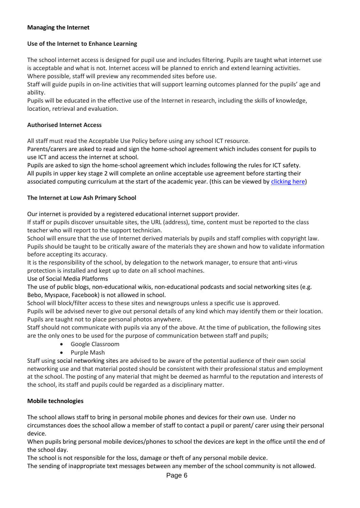# **Managing the Internet**

### **Use of the Internet to Enhance Learning**

The school internet access is designed for pupil use and includes filtering. Pupils are taught what internet use is acceptable and what is not. Internet access will be planned to enrich and extend learning activities. Where possible, staff will preview any recommended sites before use.

Staff will guide pupils in on-line activities that will support learning outcomes planned for the pupils' age and ability.

Pupils will be educated in the effective use of the Internet in research, including the skills of knowledge, location, retrieval and evaluation.

#### **Authorised Internet Access**

All staff must read the Acceptable Use Policy before using any school ICT resource.

Parents/carers are asked to read and sign the home-school agreement which includes consent for pupils to use ICT and access the internet at school.

Pupils are asked to sign the home-school agreement which includes following the rules for ICT safety. All pupils in upper key stage 2 will complete an online acceptable use agreement before starting their associated computing curriculum at the start of the academic year. (this can be viewed by [clicking here\)](https://docs.google.com/forms/d/e/1FAIpQLSeoP3kGz1FzxbndUjvZGM8cH40ePb9Yt8jFWJq6FmZV1ecrqA/viewform?usp=sf_link)

#### **The Internet at Low Ash Primary School**

#### Our internet is provided by a registered educational internet support provider.

If staff or pupils discover unsuitable sites, the URL (address), time, content must be reported to the class teacher who will report to the support technician.

School will ensure that the use of Internet derived materials by pupils and staff complies with copyright law. Pupils should be taught to be critically aware of the materials they are shown and how to validate information before accepting its accuracy.

It is the responsibility of the school, by delegation to the network manager, to ensure that anti-virus protection is installed and kept up to date on all school machines.

Use of Social Media Platforms

The use of public blogs, non-educational wikis, non-educational podcasts and social networking sites (e.g. Bebo, Myspace, Facebook) is not allowed in school.

School will block/filter access to these sites and newsgroups unless a specific use is approved.

Pupils will be advised never to give out personal details of any kind which may identify them or their location. Pupils are taught not to place personal photos anywhere.

Staff should not communicate with pupils via any of the above. At the time of publication, the following sites are the only ones to be used for the purpose of communication between staff and pupils;

- Google Classroom
- Purple Mash

Staff using social networking sites are advised to be aware of the potential audience of their own social networking use and that material posted should be consistent with their professional status and employment at the school. The posting of any material that might be deemed as harmful to the reputation and interests of the school, its staff and pupils could be regarded as a disciplinary matter.

### **Mobile technologies**

The school allows staff to bring in personal mobile phones and devices for their own use. Under no circumstances does the school allow a member of staff to contact a pupil or parent/ carer using their personal device.

When pupils bring personal mobile devices/phones to school the devices are kept in the office until the end of the school day.

The school is not responsible for the loss, damage or theft of any personal mobile device.

The sending of inappropriate text messages between any member of the school community is not allowed.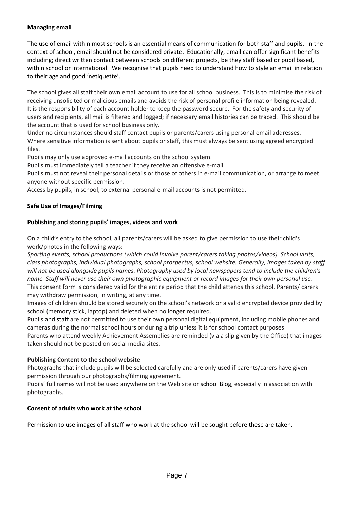# **Managing email**

The use of email within most schools is an essential means of communication for both staff and pupils. In the context of school, email should not be considered private. Educationally, email can offer significant benefits including; direct written contact between schools on different projects, be they staff based or pupil based, within school or international. We recognise that pupils need to understand how to style an email in relation to their age and good 'netiquette'.

The school gives all staff their own email account to use for all school business. This is to minimise the risk of receiving unsolicited or malicious emails and avoids the risk of personal profile information being revealed. It is the responsibility of each account holder to keep the password secure. For the safety and security of users and recipients, all mail is filtered and logged; if necessary email histories can be traced. This should be the account that is used for school business only.

Under no circumstances should staff contact pupils or parents/carers using personal email addresses. Where sensitive information is sent about pupils or staff, this must always be sent using agreed encrypted files.

Pupils may only use approved e-mail accounts on the school system.

Pupils must immediately tell a teacher if they receive an offensive e-mail.

Pupils must not reveal their personal details or those of others in e-mail communication, or arrange to meet anyone without specific permission.

Access by pupils, in school, to external personal e-mail accounts is not permitted.

# **Safe Use of Images/Filming**

### **Publishing and storing pupils' images, videos and work**

On a child's entry to the school, all parents/carers will be asked to give permission to use their child's work/photos in the following ways:

*Sporting events, school productions (which could involve parent/carers taking photos/videos). School visits, class photographs, individual photographs, school prospectus, school website. Generally, images taken by staff will not be used alongside pupils names. Photography used by local newspapers tend to include the children's name. Staff will never use their own photographic equipment or record images for their own personal use.* This consent form is considered valid for the entire period that the child attends this school. Parents/ carers may withdraw permission, in writing, at any time.

Images of children should be stored securely on the school's network or a valid encrypted device provided by school (memory stick, laptop) and deleted when no longer required.

Pupils and staff are not permitted to use their own personal digital equipment, including mobile phones and cameras during the normal school hours or during a trip unless it is for school contact purposes.

Parents who attend weekly Achievement Assemblies are reminded (via a slip given by the Office) that images taken should not be posted on social media sites.

### **Publishing Content to the school website**

Photographs that include pupils will be selected carefully and are only used if parents/carers have given permission through our photographs/filming agreement.

Pupils' full names will not be used anywhere on the Web site or school Blog, especially in association with photographs.

### **Consent of adults who work at the school**

Permission to use images of all staff who work at the school will be sought before these are taken.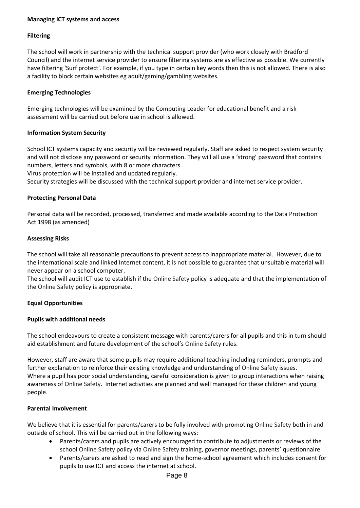### **Managing ICT systems and access**

# **Filtering**

The school will work in partnership with the technical support provider (who work closely with Bradford Council) and the internet service provider to ensure filtering systems are as effective as possible. We currently have filtering 'Surf protect'. For example, if you type in certain key words then this is not allowed. There is also a facility to block certain websites eg adult/gaming/gambling websites.

### **Emerging Technologies**

Emerging technologies will be examined by the Computing Leader for educational benefit and a risk assessment will be carried out before use in school is allowed.

#### **Information System Security**

School ICT systems capacity and security will be reviewed regularly. Staff are asked to respect system security and will not disclose any password or security information. They will all use a 'strong' password that contains numbers, letters and symbols, with 8 or more characters.

Virus protection will be installed and updated regularly.

Security strategies will be discussed with the technical support provider and internet service provider.

#### **Protecting Personal Data**

Personal data will be recorded, processed, transferred and made available according to the Data Protection Act 1998 (as amended)

#### **Assessing Risks**

The school will take all reasonable precautions to prevent access to inappropriate material. However, due to the international scale and linked Internet content, it is not possible to guarantee that unsuitable material will never appear on a school computer.

The school will audit ICT use to establish if the Online Safety policy is adequate and that the implementation of the Online Safety policy is appropriate.

### **Equal Opportunities**

#### **Pupils with additional needs**

The school endeavours to create a consistent message with parents/carers for all pupils and this in turn should aid establishment and future development of the school's Online Safety rules.

However, staff are aware that some pupils may require additional teaching including reminders, prompts and further explanation to reinforce their existing knowledge and understanding of Online Safety issues. Where a pupil has poor social understanding, careful consideration is given to group interactions when raising awareness of Online Safety. Internet activities are planned and well managed for these children and young people.

#### **Parental Involvement**

We believe that it is essential for parents/carers to be fully involved with promoting Online Safety both in and outside of school. This will be carried out in the following ways:

- Parents/carers and pupils are actively encouraged to contribute to adjustments or reviews of the school Online Safety policy via Online Safety training, governor meetings, parents' questionnaire
- Parents/carers are asked to read and sign the home-school agreement which includes consent for pupils to use ICT and access the internet at school.